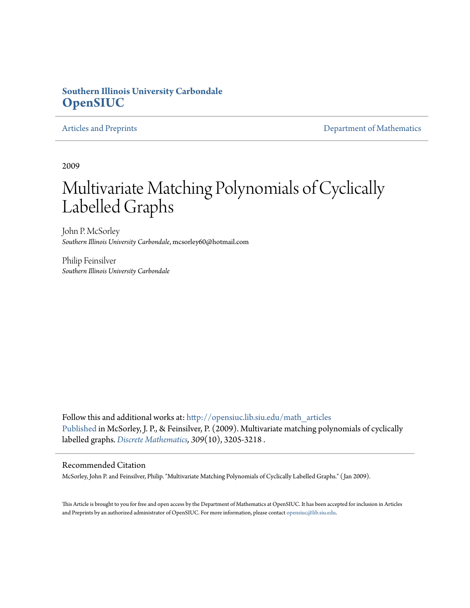### **Southern Illinois University Carbondale [OpenSIUC](http://opensiuc.lib.siu.edu?utm_source=opensiuc.lib.siu.edu%2Fmath_articles%2F92&utm_medium=PDF&utm_campaign=PDFCoverPages)**

[Articles and Preprints](http://opensiuc.lib.siu.edu/math_articles?utm_source=opensiuc.lib.siu.edu%2Fmath_articles%2F92&utm_medium=PDF&utm_campaign=PDFCoverPages) **[Department of Mathematics](http://opensiuc.lib.siu.edu/math?utm_source=opensiuc.lib.siu.edu%2Fmath_articles%2F92&utm_medium=PDF&utm_campaign=PDFCoverPages)** 

2009

# Multivariate Matching Polynomials of Cyclically Labelled Graphs

John P. McSorley *Southern Illinois University Carbondale*, mcsorley60@hotmail.com

Philip Feinsilver *Southern Illinois University Carbondale*

Follow this and additional works at: [http://opensiuc.lib.siu.edu/math\\_articles](http://opensiuc.lib.siu.edu/math_articles?utm_source=opensiuc.lib.siu.edu%2Fmath_articles%2F92&utm_medium=PDF&utm_campaign=PDFCoverPages) [Published](http://dx.doi.org/10.1016/j.disc.2008.09.020) in McSorley, J. P., & Feinsilver, P. (2009). Multivariate matching polynomials of cyclically labelled graphs. *[Discrete Mathematics](http://www.elsevier.com/wps/find/journaldescription.cws_home/505610/description#description), 309*(10), 3205-3218 .

#### Recommended Citation

McSorley, John P. and Feinsilver, Philip. "Multivariate Matching Polynomials of Cyclically Labelled Graphs." ( Jan 2009).

This Article is brought to you for free and open access by the Department of Mathematics at OpenSIUC. It has been accepted for inclusion in Articles and Preprints by an authorized administrator of OpenSIUC. For more information, please contact [opensiuc@lib.siu.edu](mailto:opensiuc@lib.siu.edu).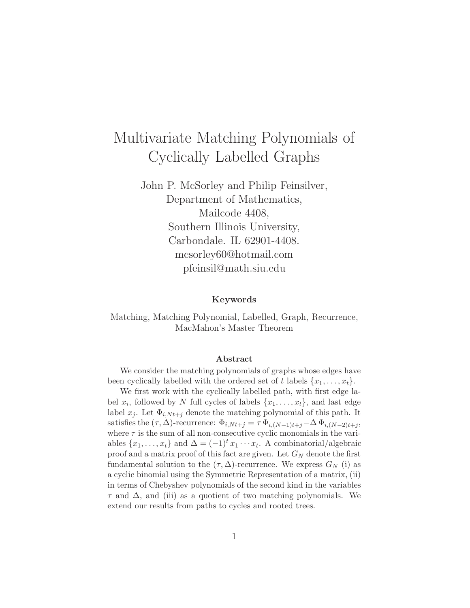# Multivariate Matching Polynomials of Cyclically Labelled Graphs

John P. McSorley and Philip Feinsilver, Department of Mathematics, Mailcode 4408, Southern Illinois University, Carbondale. IL 62901-4408. mcsorley60@hotmail.com pfeinsil@math.siu.edu

#### **Keywords**

Matching, Matching Polynomial, Labelled, Graph, Recurrence, MacMahon's Master Theorem

#### **Abstract**

We consider the matching polynomials of graphs whose edges have been cyclically labelled with the ordered set of t labels  $\{x_1, \ldots, x_t\}$ .

We first work with the cyclically labelled path, with first edge label  $x_i$ , followed by N full cycles of labels  $\{x_1, \ldots, x_t\}$ , and last edge label  $x_j$ . Let  $\Phi_{i,Nt+j}$  denote the matching polynomial of this path. It satisfies the  $(\tau, \Delta)$ -recurrence:  $\Phi_{i,Nt+j} = \tau \Phi_{i,(N-1)t+j} - \Delta \Phi_{i,(N-2)t+j}$ where  $\tau$  is the sum of all non-consecutive cyclic monomials in the variables  $\{x_1, \ldots, x_t\}$  and  $\Delta = (-1)^t x_1 \cdots x_t$ . A combinatorial/algebraic proof and a matrix proof of this fact are given. Let G*<sup>N</sup>* denote the first fundamental solution to the  $(\tau, \Delta)$ -recurrence. We express  $G_N$  (i) as a cyclic binomial using the Symmetric Representation of a matrix, (ii) in terms of Chebyshev polynomials of the second kind in the variables  $\tau$  and  $\Delta$ , and (iii) as a quotient of two matching polynomials. We extend our results from paths to cycles and rooted trees.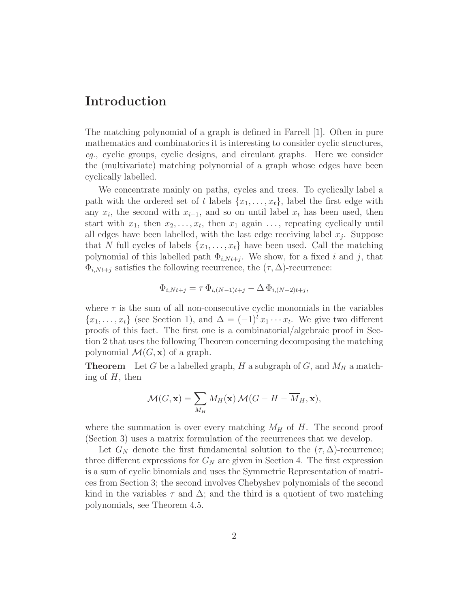## **Introduction**

The matching polynomial of a graph is defined in Farrell [1]. Often in pure mathematics and combinatorics it is interesting to consider cyclic structures, *eg.*, cyclic groups, cyclic designs, and circulant graphs. Here we consider the (multivariate) matching polynomial of a graph whose edges have been cyclically labelled.

We concentrate mainly on paths, cycles and trees. To cyclically label a path with the ordered set of *t* labels  $\{x_1, \ldots, x_t\}$ , label the first edge with any  $x_i$ , the second with  $x_{i+1}$ , and so on until label  $x_t$  has been used, then start with  $x_1$ , then  $x_2, \ldots, x_t$ , then  $x_1$  again  $\ldots$ , repeating cyclically until all edges have been labelled, with the last edge receiving label  $x_j$ . Suppose that *N* full cycles of labels  $\{x_1, \ldots, x_t\}$  have been used. Call the matching polynomial of this labelled path  $\Phi_{i,Nt+j}$ . We show, for a fixed *i* and *j*, that  $\Phi_{i,Nt+j}$  satisfies the following recurrence, the  $(\tau, \Delta)$ -recurrence:

$$
\Phi_{i,Nt+j} = \tau \, \Phi_{i,(N-1)t+j} - \Delta \, \Phi_{i,(N-2)t+j},
$$

where  $\tau$  is the sum of all non-consecutive cyclic monomials in the variables  ${x_1, \ldots, x_t}$  (see Section 1), and  $\Delta = (-1)^t x_1 \cdots x_t$ . We give two different proofs of this fact. The first one is a combinatorial/algebraic proof in Section 2 that uses the following Theorem concerning decomposing the matching polynomial  $\mathcal{M}(G, \mathbf{x})$  of a graph.

**Theorem** Let *G* be a labelled graph, *H* a subgraph of *G*, and  $M_H$  a matching of *H*, then

$$
\mathcal{M}(G, \mathbf{x}) = \sum_{M_H} M_H(\mathbf{x}) \mathcal{M}(G - H - \overline{M}_H, \mathbf{x}),
$$

where the summation is over every matching  $M_H$  of  $H$ . The second proof (Section 3) uses a matrix formulation of the recurrences that we develop.

Let  $G_N$  denote the first fundamental solution to the  $(\tau, \Delta)$ -recurrence; three different expressions for  $G_N$  are given in Section 4. The first expression is a sum of cyclic binomials and uses the Symmetric Representation of matrices from Section 3; the second involves Chebyshev polynomials of the second kind in the variables  $\tau$  and  $\Delta$ ; and the third is a quotient of two matching polynomials, see Theorem 4.5.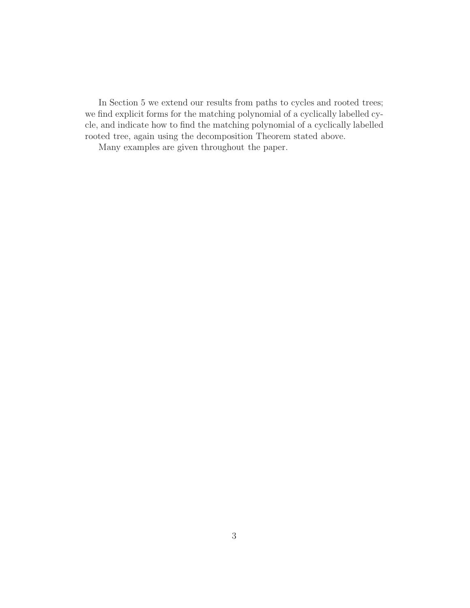In Section 5 we extend our results from paths to cycles and rooted trees; we find explicit forms for the matching polynomial of a cyclically labelled cycle, and indicate how to find the matching polynomial of a cyclically labelled rooted tree, again using the decomposition Theorem stated above.

Many examples are given throughout the paper.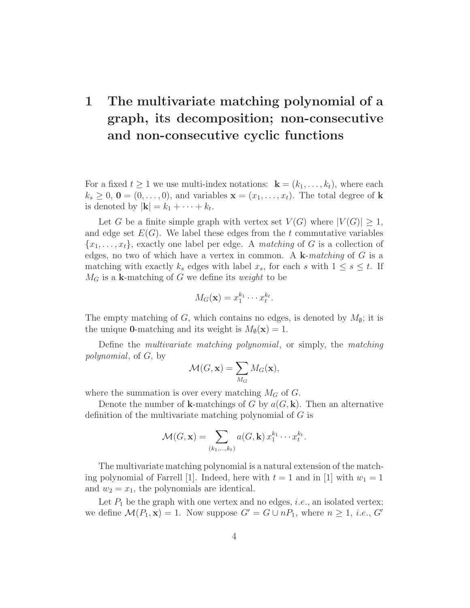# **1 The multivariate matching polynomial of a graph, its decomposition; non-consecutive and non-consecutive cyclic functions**

For a fixed  $t \geq 1$  we use multi-index notations:  $\mathbf{k} = (k_1, \ldots, k_t)$ , where each  $k_s \geq 0$ ,  $\mathbf{0} = (0, \ldots, 0)$ , and variables  $\mathbf{x} = (x_1, \ldots, x_t)$ . The total degree of **k** is denoted by  $|\mathbf{k}| = k_1 + \cdots + k_t$ .

Let *G* be a finite simple graph with vertex set  $V(G)$  where  $|V(G)| \geq 1$ , and edge set  $E(G)$ . We label these edges from the  $t$  commutative variables  ${x_1, \ldots, x_t}$ , exactly one label per edge. A *matching* of *G* is a collection of edges, no two of which have a vertex in common. A **k**-*matching* of *G* is a matching with exactly  $k_s$  edges with label  $x_s$ , for each *s* with  $1 \leq s \leq t$ . If  $M_G$  is a **k**-matching of *G* we define its *weight* to be

$$
M_G(\mathbf{x}) = x_1^{k_1} \cdots x_t^{k_t}.
$$

The empty matching of *G*, which contains no edges, is denoted by  $M_{\phi}$ ; it is the unique **0**-matching and its weight is  $M_{\phi}(\mathbf{x}) = 1$ .

Define the *multivariate matching polynomial*, or simply, the *matching polynomial*, of *G*, by

$$
\mathcal{M}(G, \mathbf{x}) = \sum_{M_G} M_G(\mathbf{x}),
$$

where the summation is over every matching  $M_G$  of  $G$ .

Denote the number of **k**-matchings of *G* by *a*(*G,* **k**). Then an alternative definition of the multivariate matching polynomial of *G* is

$$
\mathcal{M}(G,\mathbf{x})=\sum_{(k_1,\ldots,k_t)} a(G,\mathbf{k}) x_1^{k_1}\cdots x_t^{k_t}.
$$

The multivariate matching polynomial is a natural extension of the matching polynomial of Farrell [1]. Indeed, here with  $t = 1$  and in [1] with  $w_1 = 1$ and  $w_2 = x_1$ , the polynomials are identical.

Let  $P_1$  be the graph with one vertex and no edges, *i.e.*, an isolated vertex; we define  $\mathcal{M}(P_1, \mathbf{x}) = 1$ . Now suppose  $G' = G \cup nP_1$ , where  $n \geq 1$ , *i.e.*,  $G'$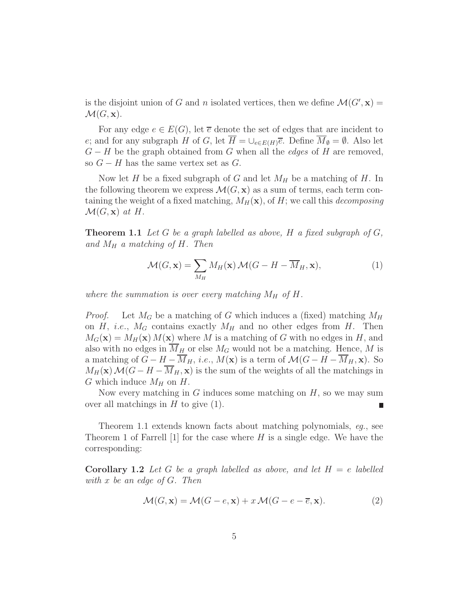is the disjoint union of *G* and *n* isolated vertices, then we define  $\mathcal{M}(G',\mathbf{x}) =$  $\mathcal{M}(G,\mathbf{x}).$ 

For any edge  $e \in E(G)$ , let  $\overline{e}$  denote the set of edges that are incident to *e*; and for any subgraph *H* of *G*, let  $\overline{H} = \bigcup_{e \in E(H)} \overline{e}$ . Define  $\overline{M}_{\emptyset} = \emptyset$ . Also let *G* − *H* be the graph obtained from *G* when all the *edges* of *H* are removed, so  $G - H$  has the same vertex set as  $G$ .

Now let *H* be a fixed subgraph of *G* and let *M<sup>H</sup>* be a matching of *H*. In the following theorem we express  $\mathcal{M}(G, \mathbf{x})$  as a sum of terms, each term containing the weight of a fixed matching,  $M_H(\mathbf{x})$ , of *H*; we call this *decomposing*  $\mathcal{M}(G,\mathbf{x})$  *at*  $H$ .

**Theorem 1.1** *Let G be a graph labelled as above, H a fixed subgraph of G, and M<sup>H</sup> a matching of H. Then*

$$
\mathcal{M}(G, \mathbf{x}) = \sum_{M_H} M_H(\mathbf{x}) \mathcal{M}(G - H - \overline{M}_H, \mathbf{x}),
$$
\n(1)

*where the summation is over every matching*  $M_H$  *of*  $H$ *.* 

*Proof.* Let  $M_G$  be a matching of *G* which induces a (fixed) matching  $M_H$ on  $H$ , *i.e.*,  $M_G$  contains exactly  $M_H$  and no other edges from  $H$ . Then  $M_G(\mathbf{x}) = M_H(\mathbf{x}) M(\mathbf{x})$  where *M* is a matching of *G* with no edges in *H*, and also with no edges in  $\overline{M}_H$  or else  $M_G$  would not be a matching. Hence, M is a matching of  $G - H - \overline{M}_H$ , *i.e.*,  $M(\mathbf{x})$  is a term of  $\mathcal{M}(G - H - \overline{M}_H, \mathbf{x})$ . So  $M_H(\mathbf{x}) \mathcal{M}(G - H - \overline{M}_H, \mathbf{x})$  is the sum of the weights of all the matchings in *G* which induce  $M_H$  on  $H$ .

Now every matching in *G* induces some matching on *H*, so we may sum over all matchings in *H* to give (1).

Theorem 1.1 extends known facts about matching polynomials, *eg.*, see Theorem 1 of Farrell [1] for the case where *H* is a single edge. We have the corresponding:

**Corollary 1.2** Let G be a graph labelled as above, and let  $H = e$  labelled *with x be an edge of G. Then*

$$
\mathcal{M}(G, \mathbf{x}) = \mathcal{M}(G - e, \mathbf{x}) + x \mathcal{M}(G - e - \overline{e}, \mathbf{x}).\tag{2}
$$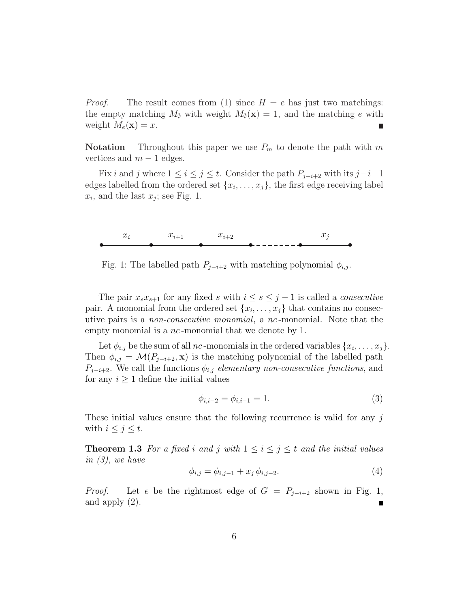*Proof.* The result comes from (1) since  $H = e$  has just two matchings: the empty matching  $M_{\emptyset}$  with weight  $M_{\emptyset}(\mathbf{x}) = 1$ , and the matching *e* with weight  $M_e(\mathbf{x}) = x$ .

**Notation** Throughout this paper we use  $P_m$  to denote the path with  $m$ vertices and  $m-1$  edges.

Fix *i* and *j* where  $1 \leq i \leq j \leq t$ . Consider the path  $P_{j-i+2}$  with its  $j-i+1$ edges labelled from the ordered set  $\{x_i, \ldots, x_j\}$ , the first edge receiving label  $x_i$ , and the last  $x_j$ ; see Fig. 1.



Fig. 1: The labelled path  $P_{j-i+2}$  with matching polynomial  $\phi_{i,j}$ .

The pair  $x_s x_{s+1}$  for any fixed *s* with  $i \leq s \leq j-1$  is called a *consecutive* pair. A monomial from the ordered set  $\{x_i, \ldots, x_j\}$  that contains no consecutive pairs is a *non-consecutive monomial*, a *nc* -monomial. Note that the empty monomial is a *nc* -monomial that we denote by 1.

Let  $\phi_{i,j}$  be the sum of all *nc*-monomials in the ordered variables  $\{x_i, \ldots, x_j\}$ . Then  $\phi_{i,j} = \mathcal{M}(P_{j-i+2}, \mathbf{x})$  is the matching polynomial of the labelled path *P*<sub>*j*−*i*+2. We call the functions  $\phi_{i,j}$  *elementary non-consecutive functions*, and</sub> for any  $i \geq 1$  define the initial values

$$
\phi_{i,i-2} = \phi_{i,i-1} = 1.
$$
\n(3)

These initial values ensure that the following recurrence is valid for any *j* with  $i \leq j \leq t$ .

**Theorem 1.3** For a fixed *i* and *j* with  $1 \leq i \leq j \leq t$  and the initial values *in (3), we have*

$$
\phi_{i,j} = \phi_{i,j-1} + x_j \, \phi_{i,j-2}.\tag{4}
$$

*Proof.* Let *e* be the rightmost edge of  $G = P_{j-i+2}$  shown in Fig. 1, and apply (2). Г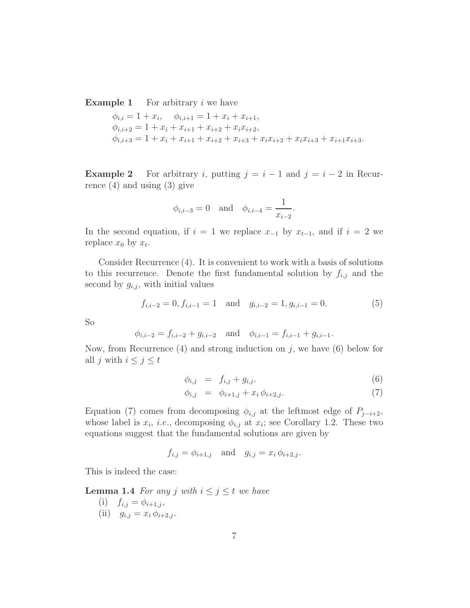**Example 1** For arbitrary *i* we have

$$
\phi_{i,i} = 1 + x_i, \quad \phi_{i,i+1} = 1 + x_i + x_{i+1},
$$
  
\n
$$
\phi_{i,i+2} = 1 + x_i + x_{i+1} + x_{i+2} + x_i x_{i+2},
$$
  
\n
$$
\phi_{i,i+3} = 1 + x_i + x_{i+1} + x_{i+2} + x_{i+3} + x_i x_{i+2} + x_i x_{i+3} + x_{i+1} x_{i+3}.
$$

**Example 2** For arbitrary *i*, putting  $j = i - 1$  and  $j = i - 2$  in Recurrence  $(4)$  and using  $(3)$  give

$$
\phi_{i,i-3} = 0
$$
 and  $\phi_{i,i-4} = \frac{1}{x_{i-2}}$ .

In the second equation, if  $i = 1$  we replace  $x_{-1}$  by  $x_{t-1}$ , and if  $i = 2$  we replace  $x_0$  by  $x_t$ .

Consider Recurrence (4). It is convenient to work with a basis of solutions to this recurrence. Denote the first fundamental solution by  $f_{i,j}$  and the second by  $g_{i,j}$ , with initial values

$$
f_{i,i-2} = 0, f_{i,i-1} = 1 \text{ and } g_{i,i-2} = 1, g_{i,i-1} = 0.
$$
 (5)

So

$$
\phi_{i,i-2} = f_{i,i-2} + g_{i,i-2}
$$
 and  $\phi_{i,i-1} = f_{i,i-1} + g_{i,i-1}$ .

Now, from Recurrence  $(4)$  and strong induction on  $j$ , we have  $(6)$  below for all *j* with  $i \leq j \leq t$ 

$$
\phi_{i,j} = f_{i,j} + g_{i,j}.\tag{6}
$$

$$
\phi_{i,j} = \phi_{i+1,j} + x_i \phi_{i+2,j}.
$$
\n(7)

Equation (7) comes from decomposing  $\phi_{i,j}$  at the leftmost edge of  $P_{j-i+2}$ , whose label is  $x_i$ , *i.e.*, decomposing  $\phi_{i,j}$  at  $x_i$ ; see Corollary 1.2. These two equations suggest that the fundamental solutions are given by

$$
f_{i,j} = \phi_{i+1,j}
$$
 and  $g_{i,j} = x_i \phi_{i+2,j}$ .

This is indeed the case:

**Lemma 1.4** *For any j with*  $i \leq j \leq t$  *we have* 

(i)  $f_{i,j} = \phi_{i+1,j}$ , (ii)  $g_{i,j} = x_i \, \phi_{i+2,j}$ .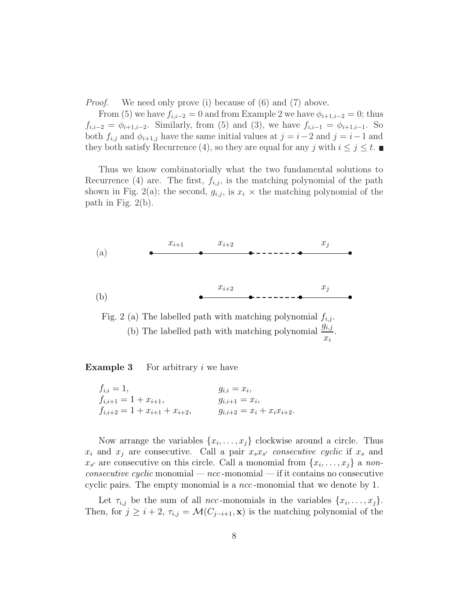*Proof.* We need only prove (i) because of (6) and (7) above.

From (5) we have  $f_{i,i-2} = 0$  and from Example 2 we have  $\phi_{i+1,i-2} = 0$ ; thus  $f_{i,i-2} = \phi_{i+1,i-2}$ . Similarly, from (5) and (3), we have  $f_{i,i-1} = \phi_{i+1,i-1}$ . So both  $f_{i,j}$  and  $\phi_{i+1,j}$  have the same initial values at  $j = i-2$  and  $j = i-1$  and they both satisfy Recurrence (4), so they are equal for any *j* with  $i \leq j \leq t$ .

Thus we know combinatorially what the two fundamental solutions to Recurrence (4) are. The first,  $f_{i,j}$ , is the matching polynomial of the path shown in Fig. 2(a); the second,  $g_{i,j}$ , is  $x_i \times$  the matching polynomial of the path in Fig. 2(b).



Fig. 2 (a) The labelled path with matching polynomial  $f_{i,j}$ . (b) The labelled path with matching polynomial  $\frac{g_{i,j}}{g_{i,j}}$ *xi* .

**Example 3** For arbitrary *i* we have

 $f_{i,i} = 1,$   $g_{i,i} = x_i,$  $f_{i,i+1} = 1 + x_{i+1},$   $g_{i,i+1} = x_i,$  $f_{i,i+2} = 1 + x_{i+1} + x_{i+2},$   $g_{i,i+2} = x_i + x_i x_{i+2}.$ 

Now arrange the variables  $\{x_i, \ldots, x_j\}$  clockwise around a circle. Thus  $x_i$  and  $x_j$  are consecutive. Call a pair  $x_s x_{s'}$  consecutive cyclic if  $x_s$  and  $x_{s'}$  are consecutive on this circle. Call a monomial from  $\{x_i, \ldots, x_j\}$  a non*consecutive cyclic* monomial — *ncc* -monomial — if it contains no consecutive cyclic pairs. The empty monomial is a *ncc* -monomial that we denote by 1.

Let  $\tau_{i,j}$  be the sum of all *ncc*-monomials in the variables  $\{x_i, \ldots, x_j\}$ . Then, for  $j \geq i + 2$ ,  $\tau_{i,j} = \mathcal{M}(C_{j-i+1}, \mathbf{x})$  is the matching polynomial of the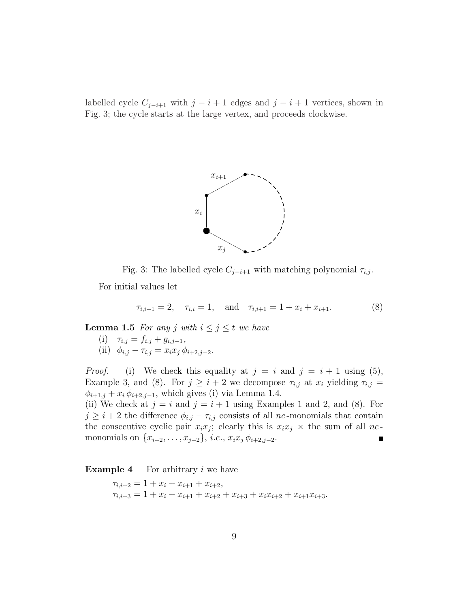labelled cycle  $C_{j-i+1}$  with  $j-i+1$  edges and  $j-i+1$  vertices, shown in Fig. 3; the cycle starts at the large vertex, and proceeds clockwise.



Fig. 3: The labelled cycle  $C_{j-i+1}$  with matching polynomial  $\tau_{i,j}$ .

For initial values let

$$
\tau_{i,i-1} = 2, \quad \tau_{i,i} = 1, \quad \text{and} \quad \tau_{i,i+1} = 1 + x_i + x_{i+1}.
$$
 (8)

**Lemma 1.5** *For any j with*  $i \leq j \leq t$  *we have* 

- $(i)$   $\tau_{i,j} = f_{i,j} + g_{i,j-1}$ ,
- (ii)  $\phi_{i,j} \tau_{i,j} = x_i x_j \, \phi_{i+2,j-2}$ .

*Proof.* (i) We check this equality at  $j = i$  and  $j = i + 1$  using (5), Example 3, and (8). For  $j \geq i + 2$  we decompose  $\tau_{i,j}$  at  $x_i$  yielding  $\tau_{i,j}$  $\phi_{i+1,j} + x_i \phi_{i+2,j-1}$ , which gives (i) via Lemma 1.4.

(ii) We check at  $j = i$  and  $j = i + 1$  using Examples 1 and 2, and (8). For  $j \geq i + 2$  the difference  $\phi_{i,j} - \tau_{i,j}$  consists of all *nc*-monomials that contain the consecutive cyclic pair  $x_i x_j$ ; clearly this is  $x_i x_j \times$  the sum of all *nc*monomials on  $\{x_{i+2}, \ldots, x_{j-2}\}, i.e., x_i x_j \phi_{i+2,j-2}.$ 

**Example 4** For arbitrary *i* we have

 $\tau_{i,i+2} = 1 + x_i + x_{i+1} + x_{i+2},$  $\tau_{i,i+3} = 1 + x_i + x_{i+1} + x_{i+2} + x_{i+3} + x_i x_{i+2} + x_{i+1} x_{i+3}.$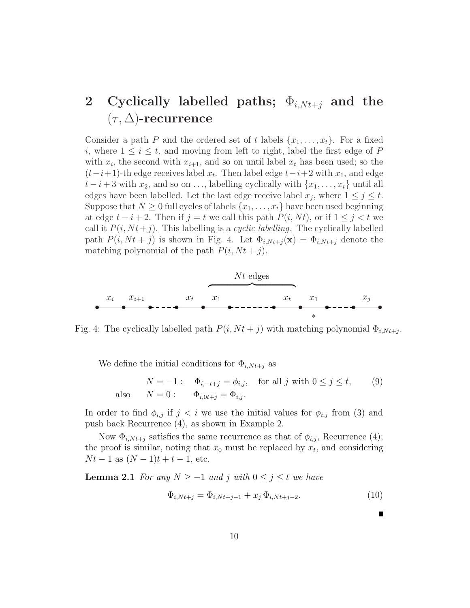# **2** Cyclically labelled paths;  $\Phi_{i,Nt+j}$  and the (*τ,* ∆)**-recurrence**

Consider a path *P* and the ordered set of *t* labels  $\{x_1, \ldots, x_t\}$ . For a fixed *i*, where  $1 \leq i \leq t$ , and moving from left to right, label the first edge of P with  $x_i$ , the second with  $x_{i+1}$ , and so on until label  $x_t$  has been used; so the  $(t-i+1)$ -th edge receives label  $x_t$ . Then label edge  $t-i+2$  with  $x_1$ , and edge  $t - i + 3$  with  $x_2$ , and so on ..., labelling cyclically with  $\{x_1, \ldots, x_t\}$  until all edges have been labelled. Let the last edge receive label  $x_j$ , where  $1 \leq j \leq t$ . Suppose that  $N \geq 0$  full cycles of labels  $\{x_1, \ldots, x_t\}$  have been used beginning at edge  $t - i + 2$ . Then if  $j = t$  we call this path  $P(i, Nt)$ , or if  $1 \leq j < t$  we call it  $P(i, Nt+j)$ . This labelling is a *cyclic labelling*. The cyclically labelled path  $P(i, Nt + j)$  is shown in Fig. 4. Let  $\Phi_{i, Nt+j}(\mathbf{x}) = \Phi_{i, Nt+j}$  denote the matching polynomial of the path  $P(i, Nt + j)$ .



Fig. 4: The cyclically labelled path  $P(i, Nt + j)$  with matching polynomial  $\Phi_{i, Nt+j}$ .

We define the initial conditions for  $\Phi_{i,Nt+j}$  as

$$
N = -1: \quad \Phi_{i, -t+j} = \phi_{i,j}, \quad \text{for all } j \text{ with } 0 \le j \le t,
$$
\n
$$
N = 0: \quad \Phi_{i, 0t+j} = \Phi_{i,j}.
$$
\n
$$
(9)
$$

In order to find  $\phi_{i,j}$  if  $j < i$  we use the initial values for  $\phi_{i,j}$  from (3) and push back Recurrence (4), as shown in Example 2.

Now  $\Phi_{i,Nt+j}$  satisfies the same recurrence as that of  $\phi_{i,j}$ , Recurrence (4); the proof is similar, noting that  $x_0$  must be replaced by  $x_t$ , and considering  $Nt - 1$  as  $(N - 1)t + t - 1$ , etc.

**Lemma 2.1** *For any*  $N \ge -1$  *and j with*  $0 \le j \le t$  *we have* 

$$
\Phi_{i,Nt+j} = \Phi_{i,Nt+j-1} + x_j \Phi_{i,Nt+j-2}.
$$
\n(10)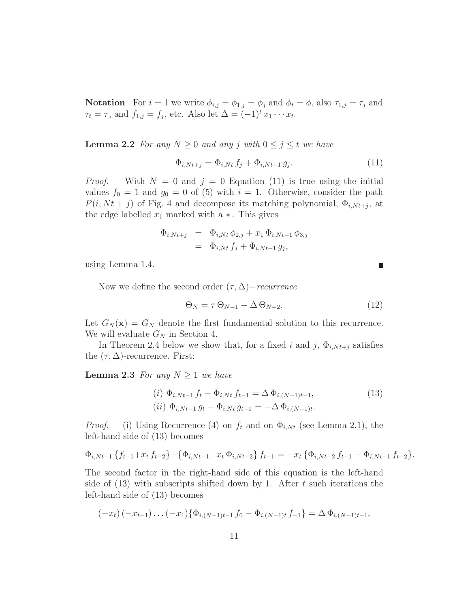**Notation** For  $i = 1$  we write  $\phi_{i,j} = \phi_{1,j} = \phi_j$  and  $\phi_t = \phi$ , also  $\tau_{1,j} = \tau_j$  and  $\tau_t = \tau$ , and  $f_{1,j} = f_j$ , etc. Also let  $\Delta = (-1)^t x_1 \cdots x_t$ .

**Lemma 2.2** *For any*  $N \geq 0$  *and any j with*  $0 \leq j \leq t$  *we have* 

$$
\Phi_{i,Nt+j} = \Phi_{i,Nt} f_j + \Phi_{i,Nt-1} g_j.
$$
\n(11)

*Proof.* With  $N = 0$  and  $j = 0$  Equation (11) is true using the initial values  $f_0 = 1$  and  $g_0 = 0$  of (5) with  $i = 1$ . Otherwise, consider the path  $P(i, Nt + j)$  of Fig. 4 and decompose its matching polynomial,  $\Phi_{i, Nt+j}$ , at the edge labelled  $x_1$  marked with a  $\ast$ . This gives

$$
\begin{array}{rcl}\n\Phi_{i,Nt+j} & = & \Phi_{i,Nt} \, \phi_{2,j} + x_1 \, \Phi_{i,Nt-1} \, \phi_{3,j} \\
& = & \Phi_{i,Nt} \, f_j + \Phi_{i,Nt-1} \, g_j,\n\end{array}
$$

using Lemma 1.4.

Now we define the second order  $(\tau, \Delta)$ *− recurrence* 

$$
\Theta_N = \tau \Theta_{N-1} - \Delta \Theta_{N-2}.
$$
\n(12)

Let  $G_N(\mathbf{x}) = G_N$  denote the first fundamental solution to this recurrence. We will evaluate *G<sup>N</sup>* in Section 4.

In Theorem 2.4 below we show that, for a fixed *i* and  $j$ ,  $\Phi_{i,Nt+j}$  satisfies the  $(\tau, \Delta)$ -recurrence. First:

**Lemma 2.3** *For any*  $N \geq 1$  *we have* 

$$
(i) \ \Phi_{i,Nt-1} f_t - \Phi_{i,Nt} f_{t-1} = \Delta \Phi_{i,(N-1)t-1},
$$
  
\n
$$
(ii) \ \Phi_{i,Nt-1} g_t - \Phi_{i,Nt} g_{t-1} = -\Delta \Phi_{i,(N-1)t}.
$$
\n
$$
(13)
$$

*Proof.* (i) Using Recurrence (4) on  $f_t$  and on  $\Phi_{i,Nt}$  (see Lemma 2.1), the left-hand side of (13) becomes

$$
\Phi_{i,Nt-1}\left\{f_{t-1}+x_{t}f_{t-2}\right\}-\left\{\Phi_{i,Nt-1}+x_{t}\Phi_{i,Nt-2}\right\}f_{t-1}=-x_{t}\left\{\Phi_{i,Nt-2}f_{t-1}-\Phi_{i,Nt-1}f_{t-2}\right\}.
$$

The second factor in the right-hand side of this equation is the left-hand side of (13) with subscripts shifted down by 1. After *t* such iterations the left-hand side of (13) becomes

$$
(-x_t)(-x_{t-1})\dots(-x_1)\{\Phi_{i,(N-1)t-1}f_0-\Phi_{i,(N-1)t}f_{-1}\}=\Delta\Phi_{i,(N-1)t-1},
$$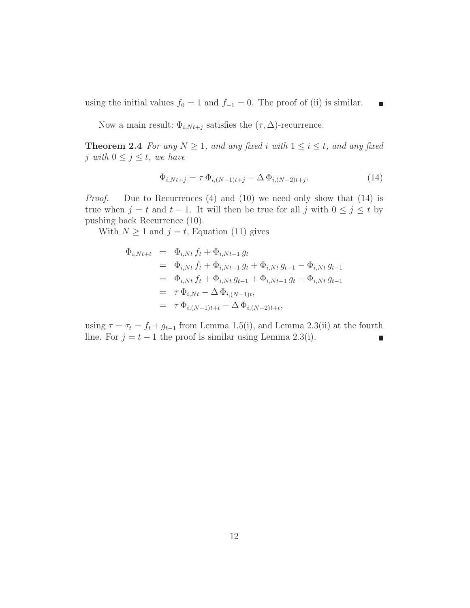using the initial values  $f_0 = 1$  and  $f_{-1} = 0$ . The proof of (ii) is similar.

Now a main result:  $\Phi_{i,Nt+j}$  satisfies the  $(\tau, \Delta)$ -recurrence.

**Theorem 2.4** *For any*  $N \geq 1$ *, and any fixed i with*  $1 \leq i \leq t$ *, and any fixed j* with  $0 \leq j \leq t$ , we have

$$
\Phi_{i,Nt+j} = \tau \, \Phi_{i,(N-1)t+j} - \Delta \, \Phi_{i,(N-2)t+j}.\tag{14}
$$

 $\blacksquare$ 

*Proof.* Due to Recurrences (4) and (10) we need only show that (14) is true when  $j = t$  and  $t - 1$ . It will then be true for all  $j$  with  $0 \leq j \leq t$  by pushing back Recurrence (10).

With  $N \geq 1$  and  $j = t$ , Equation (11) gives

$$
\begin{array}{rcl}\n\Phi_{i,Nt+t} & = & \Phi_{i,Nt} \, f_t + \Phi_{i,Nt-1} \, g_t \\
& = & \Phi_{i,Nt} \, f_t + \Phi_{i,Nt-1} \, g_t + \Phi_{i,Nt} \, g_{t-1} - \Phi_{i,Nt} \, g_{t-1} \\
& = & \Phi_{i,Nt} \, f_t + \Phi_{i,Nt} \, g_{t-1} + \Phi_{i,Nt-1} \, g_t - \Phi_{i,Nt} \, g_{t-1} \\
& = & \tau \, \Phi_{i,Nt} - \Delta \, \Phi_{i,(N-1)t}, \\
& = & \tau \, \Phi_{i,(N-1)t+t} - \Delta \, \Phi_{i,(N-2)t+t},\n\end{array}
$$

using  $\tau = \tau_t = f_t + g_{t-1}$  from Lemma 1.5(i), and Lemma 2.3(ii) at the fourth line. For  $j = t - 1$  the proof is similar using Lemma 2.3(i). П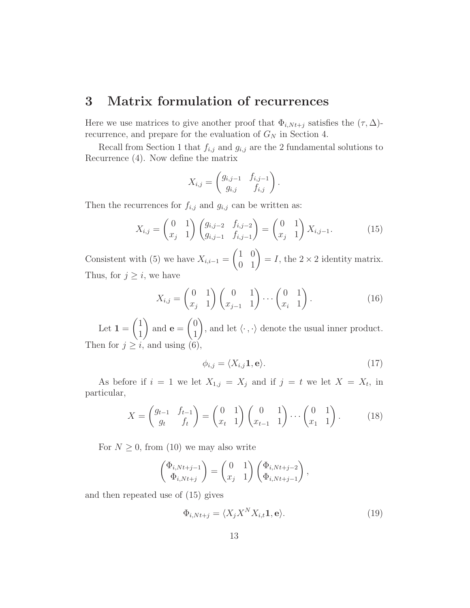## **3 Matrix formulation of recurrences**

Here we use matrices to give another proof that  $\Phi_{i,Nt+j}$  satisfies the  $(\tau, \Delta)$ recurrence, and prepare for the evaluation of  $G_N$  in Section 4.

Recall from Section 1 that  $f_{i,j}$  and  $g_{i,j}$  are the 2 fundamental solutions to Recurrence (4). Now define the matrix

$$
X_{i,j} = \begin{pmatrix} g_{i,j-1} & f_{i,j-1} \\ g_{i,j} & f_{i,j} \end{pmatrix}.
$$

Then the recurrences for  $f_{i,j}$  and  $g_{i,j}$  can be written as:

$$
X_{i,j} = \begin{pmatrix} 0 & 1 \\ x_j & 1 \end{pmatrix} \begin{pmatrix} g_{i,j-2} & f_{i,j-2} \\ g_{i,j-1} & f_{i,j-1} \end{pmatrix} = \begin{pmatrix} 0 & 1 \\ x_j & 1 \end{pmatrix} X_{i,j-1}.
$$
 (15)

Consistent with (5) we have  $X_{i,i-1} =$  $\begin{pmatrix} 1 & 0 \\ 0 & 1 \end{pmatrix} = I$ , the 2 × 2 identity matrix. Thus, for  $j \geq i$ , we have

$$
X_{i,j} = \begin{pmatrix} 0 & 1 \\ x_j & 1 \end{pmatrix} \begin{pmatrix} 0 & 1 \\ x_{j-1} & 1 \end{pmatrix} \cdots \begin{pmatrix} 0 & 1 \\ x_i & 1 \end{pmatrix}.
$$
 (16)

Let  $1 =$  $(1)$ 1  $\sqrt{2}$ and **e** =  $\sqrt{0}$ 1  $\sqrt{2}$ , and let  $\langle \cdot, \cdot \rangle$  denote the usual inner product. Then for  $j \geq i$ , and using  $(6)$ ,

$$
\phi_{i,j} = \langle X_{i,j} \mathbf{1}, \mathbf{e} \rangle. \tag{17}
$$

As before if  $i = 1$  we let  $X_{1,j} = X_j$  and if  $j = t$  we let  $X = X_t$ , in particular,

$$
X = \begin{pmatrix} g_{t-1} & f_{t-1} \\ g_t & f_t \end{pmatrix} = \begin{pmatrix} 0 & 1 \\ x_t & 1 \end{pmatrix} \begin{pmatrix} 0 & 1 \\ x_{t-1} & 1 \end{pmatrix} \cdots \begin{pmatrix} 0 & 1 \\ x_1 & 1 \end{pmatrix}.
$$
 (18)

For  $N \geq 0$ , from (10) we may also write

$$
\begin{pmatrix} \Phi_{i,Nt+j-1} \\ \Phi_{i,Nt+j} \end{pmatrix} = \begin{pmatrix} 0 & 1 \\ x_j & 1 \end{pmatrix} \begin{pmatrix} \Phi_{i,Nt+j-2} \\ \Phi_{i,Nt+j-1} \end{pmatrix},
$$

and then repeated use of (15) gives

$$
\Phi_{i,Nt+j} = \langle X_j X^N X_{i,t} \mathbf{1}, \mathbf{e} \rangle.
$$
\n(19)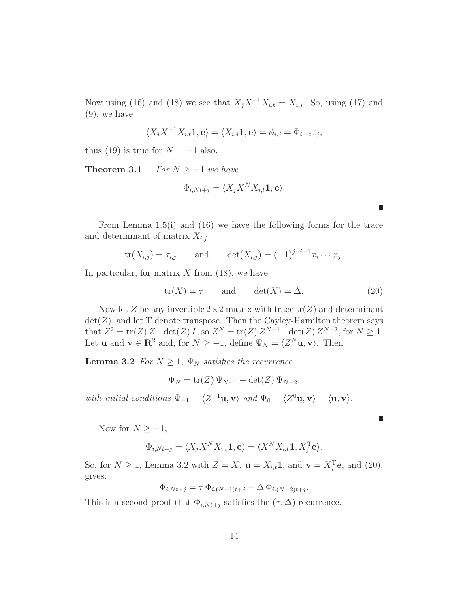Now using (16) and (18) we see that  $X_j X^{-1} X_{i,t} = X_{i,j}$ . So, using (17) and (9), we have

$$
\langle X_j X^{-1} X_{i,t} \mathbf{1}, \mathbf{e} \rangle = \langle X_{i,j} \mathbf{1}, \mathbf{e} \rangle = \phi_{i,j} = \Phi_{i,-t+j},
$$

thus (19) is true for  $N = -1$  also.

**Theorem 3.1** *For*  $N \ge -1$  *we have* 

$$
\Phi_{i,Nt+j} = \langle X_j X^N X_{i,t} \mathbf{1}, \mathbf{e} \rangle.
$$

From Lemma 1.5(i) and (16) we have the following forms for the trace and determinant of matrix *Xi,j*

$$
tr(X_{i,j}) = \tau_{i,j}
$$
 and  $det(X_{i,j}) = (-1)^{j-i+1} x_i \cdots x_j$ .

In particular, for matrix *X* from (18), we have

$$
tr(X) = \tau \qquad \text{and} \qquad det(X) = \Delta. \tag{20}
$$

Now let *Z* be any invertible  $2 \times 2$  matrix with trace  $tr(Z)$  and determinant  $det(Z)$ , and let T denote transpose. Then the Cayley-Hamilton theorem says that  $Z^2 = \text{tr}(Z) Z - \text{det}(Z) I$ , so  $Z^N = \text{tr}(Z) Z^{N-1} - \text{det}(Z) Z^{N-2}$ , for  $N \geq 1$ . Let **u** and  $\mathbf{v} \in \mathbb{R}^2$  and, for  $N \ge -1$ , define  $\Psi_N = \langle Z^N \mathbf{u}, \mathbf{v} \rangle$ . Then

**Lemma 3.2** *For*  $N \geq 1$ *,*  $\Psi_N$  *satisfies the recurrence* 

$$
\Psi_N = \text{tr}(Z) \Psi_{N-1} - \det(Z) \Psi_{N-2},
$$

*with initial conditions*  $\Psi_{-1} = \langle Z^{-1}u, v \rangle$  *and*  $\Psi_0 = \langle Z^0u, v \rangle = \langle u, v \rangle$ *.* 

Now for  $N \geq -1$ ,

$$
\Phi_{i,Nt+j} = \langle X_j X^N X_{i,t} \mathbf{1}, \mathbf{e} \rangle = \langle X^N X_{i,t} \mathbf{1}, X_j^{\mathrm{T}} \mathbf{e} \rangle.
$$

So, for  $N \geq 1$ , Lemma 3.2 with  $Z = X$ ,  $\mathbf{u} = X_{i,t} \mathbf{1}$ , and  $\mathbf{v} = X_j^{\mathrm{T}} \mathbf{e}$ , and (20), gives,

$$
\Phi_{i,Nt+j} = \tau \, \Phi_{i,(N-1)t+j} - \Delta \, \Phi_{i,(N-2)t+j}.
$$

This is a second proof that  $\Phi_{i,Nt+j}$  satisfies the  $(\tau, \Delta)$ -recurrence.

П

г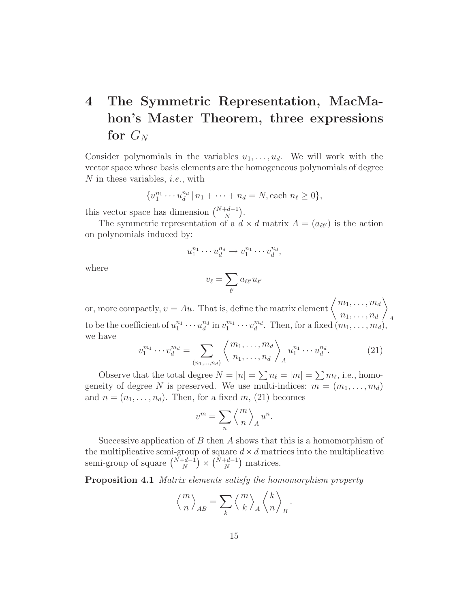# **4 The Symmetric Representation, MacMahon's Master Theorem, three expressions** for  $G_N$

Consider polynomials in the variables  $u_1, \ldots, u_d$ . We will work with the vector space whose basis elements are the homogeneous polynomials of degree *N* in these variables, *i.e.,* with

$$
\{u_1^{n_1} \cdots u_d^{n_d} \, | \, n_1 + \cdots + n_d = N, \text{each } n_\ell \ge 0\},\
$$

this vector space has dimension  $\binom{N+d-1}{N}$  $).$ 

The symmetric representation of a  $d \times d$  matrix  $A = (a_{\ell\ell'})$  is the action on polynomials induced by:

$$
u_1^{n_1} \cdots u_d^{n_d} \to v_1^{n_1} \cdots v_d^{n_d},
$$

where

$$
v_{\ell} = \sum_{\ell'} a_{\ell \ell'} u_{\ell'}
$$

or, more compactly,  $v = Au$ . That is, define the matrix element  $\begin{cases} m_1, \ldots, m_d \end{cases}$  $n_1, \ldots, n_d$  $\sqrt{2}$ to be the coefficient of  $u_1^{n_1} \cdots u_d^{n_d}$  in  $v_1^{m_1} \cdots v_d^{m_d}$ . Then, for a fixed  $(m_1, \ldots, m_d)$ , we have

$$
v_1^{m_1} \cdots v_d^{m_d} = \sum_{(n_1, \dots, n_d)} \left\langle \frac{m_1, \dots, m_d}{n_1, \dots, n_d} \right\rangle_A u_1^{n_1} \cdots u_d^{n_d}.
$$
 (21)

Observe that the total degree  $N = |n| = \sum n_\ell = |m| = \sum m_\ell$ , i.e., homogeneity of degree N is preserved. We use multi-indices:  $m = (m_1, \ldots, m_d)$ and  $n = (n_1, \ldots, n_d)$ . Then, for a fixed  $m$ , (21) becomes

$$
v^m = \sum_n \left\langle {m \atop n} \right\rangle_A u^n.
$$

Successive application of *B* then *A* shows that this is a homomorphism of the multiplicative semi-group of square  $d \times d$  matrices into the multiplicative semi-group of square  $\binom{N+d-1}{N}$  $\left(\begin{array}{c}N+d-1\ N\end{array}\right)$  $\sum_{n=1}^{\infty}$  matrices.

**Proposition 4.1** *Matrix elements satisfy the homomorphism property*

$$
\Big\langle {m \atop n} \Big\rangle_{AB} = \sum_k \Big\langle {m \atop k} \Big\rangle_A \left\langle {k \atop n} \right\rangle_B.
$$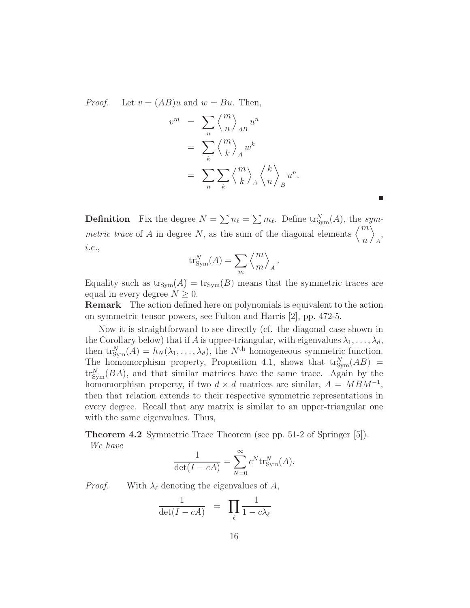*Proof.* Let  $v = (AB)u$  and  $w = Bu$ . Then,

$$
v^{m} = \sum_{n} \left\langle {m \atop n} \right\rangle_{AB} u^{n}
$$
  
= 
$$
\sum_{k} \left\langle {m \atop k} \right\rangle_{A} w^{k}
$$
  
= 
$$
\sum_{n} \sum_{k} \left\langle {m \atop k} \right\rangle_{A} \left\langle {k \atop n} \right\rangle_{B} u^{n}.
$$

**Definition** Fix the degree  $N = \sum n_\ell = \sum m_\ell$ . Define  $\text{tr}_{\text{Sym}}^N(A)$ , the *symmetric trace* of *A* in degree *N*, as the sum of the diagonal elements  $\binom{m}{k}$ *n*  $\tilde{\setminus}$ *A* , *i.e.*,

$$
tr_{\text{Sym}}^N(A) = \sum_m \left\langle \frac{m}{m} \right\rangle_A.
$$

Equality such as  $\text{tr}_{\text{Sym}}(A) = \text{tr}_{\text{Sym}}(B)$  means that the symmetric traces are equal in every degree  $N \geq 0$ .

**Remark** The action defined here on polynomials is equivalent to the action on symmetric tensor powers, see Fulton and Harris [2], pp. 472-5.

Now it is straightforward to see directly (cf. the diagonal case shown in the Corollary below) that if *A* is upper-triangular, with eigenvalues  $\lambda_1, \ldots, \lambda_d$ , then  $\text{tr}_{\text{Sym}}^N(A) = h_N(\lambda_1, \ldots, \lambda_d)$ , the  $N^{\text{th}}$  homogeneous symmetric function. The homomorphism property, Proposition 4.1, shows that  $\text{tr}_{\text{Sym}}^N(AB)$  =  $\operatorname{tr}^N_{\text{Sym}}(BA)$ , and that similar matrices have the same trace. Again by the homomorphism property, if two  $d \times d$  matrices are similar,  $A = MBM^{-1}$ , then that relation extends to their respective symmetric representations in every degree. Recall that any matrix is similar to an upper-triangular one with the same eigenvalues. Thus,

**Theorem 4.2** Symmetric Trace Theorem (see pp. 51-2 of Springer [5])*. We have*

$$
\frac{1}{\det(I - cA)} = \sum_{N=0}^{\infty} c^N \text{tr}_{\text{Sym}}^N(A).
$$

*Proof.* With  $\lambda_{\ell}$  denoting the eigenvalues of *A*,

$$
\frac{1}{\det(I - cA)} = \prod_{\ell} \frac{1}{1 - c\lambda_{\ell}}
$$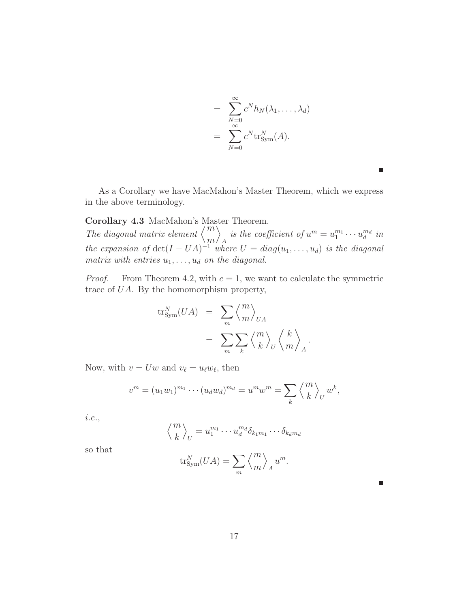$$
= \sum_{N=0}^{\infty} c^N h_N(\lambda_1, ..., \lambda_d)
$$

$$
= \sum_{N=0}^{\infty} c^N \text{tr}_{\text{Sym}}^N(A).
$$

 $\Box$ 

П

As a Corollary we have MacMahon's Master Theorem, which we express in the above terminology.

### **Corollary 4.3** MacMahon's Master Theorem.

*The diagonal matrix element*  $\binom{m}{2}$ *m*  $\tilde{\setminus}$ *A is the coefficient of*  $u^m = u_1^{m_1} \cdots u_d^{m_d}$  *in the expansion of*  $det(I - UA)^{-1}$  *where*  $U = diag(u_1, \ldots, u_d)$  *is the diagonal matrix with entries u*1*,...,u<sup>d</sup> on the diagonal.*

*Proof.* From Theorem 4.2, with  $c = 1$ , we want to calculate the symmetric trace of *UA*. By the homomorphism property,

$$
\mathrm{tr}_{\mathrm{Sym}}^N(UA) = \sum_m \left\langle \frac{m}{m} \right\rangle_{UA}
$$
  
= 
$$
\sum_m \sum_k \left\langle \frac{m}{k} \right\rangle_U \left\langle \frac{k}{m} \right\rangle_A.
$$

Now, with  $v = Uw$  and  $v_{\ell} = u_{\ell}w_{\ell}$ , then

$$
v^{m} = (u_1w_1)^{m_1} \cdots (u_dw_d)^{m_d} = u^{m}w^{m} = \sum_{k} \left\langle {m \atop k} \right\rangle_{U} w^{k},
$$

*i.e.*,  $/m$ 

$$
\left\langle \frac{m}{k} \right\rangle_U = u_1^{m_1} \cdots u_d^{m_d} \delta_{k_1 m_1} \cdots \delta_{k_d m_d}
$$

so that

$$
\operatorname{tr}^N_{\operatorname{Sym}}(UA) = \sum_m \left\langle \frac{m}{m} \right\rangle_A u^m.
$$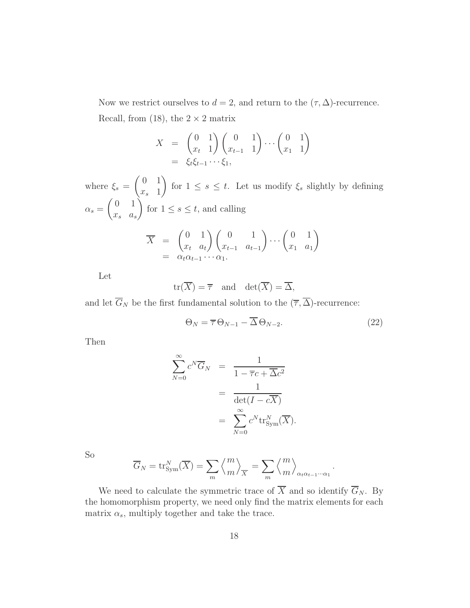Now we restrict ourselves to  $d = 2$ , and return to the  $(\tau, \Delta)$ -recurrence. Recall, from (18), the  $2 \times 2$  matrix

$$
X = \begin{pmatrix} 0 & 1 \\ x_t & 1 \end{pmatrix} \begin{pmatrix} 0 & 1 \\ x_{t-1} & 1 \end{pmatrix} \cdots \begin{pmatrix} 0 & 1 \\ x_1 & 1 \end{pmatrix}
$$
  
=  $\xi_t \xi_{t-1} \cdots \xi_1$ ,

where  $\xi_s =$  $(0 1$ *x<sup>s</sup>* 1  $\sqrt{2}$ for  $1 \leq s \leq t$ . Let us modify  $\xi_s$  slightly by defining  $\alpha_s = \begin{pmatrix} 0 & 1 \\ x & 2 \end{pmatrix}$ *x<sup>s</sup> a<sup>s</sup>* Ź. for  $1 \leq s \leq t$ , and calling  $\overline{X} = \begin{pmatrix} 0 & 1 \\ 0 & 1 \end{pmatrix}$  $x_t$  *a*<sub>*t*</sub>  $\bigwedge$   $\bigwedge$  0 1 *xt*−<sup>1</sup> *at*−<sup>1</sup>  $\bigg) \dots \bigg( \begin{matrix} 0 & 1 \end{matrix}$ *x*<sup>1</sup> *a*<sup>1</sup>  $\sqrt{2}$  $= \alpha_t \alpha_{t-1} \cdots \alpha_1.$ 

Let

$$
\operatorname{tr}(\overline{X}) = \overline{\tau} \quad \text{and} \quad \det(\overline{X}) = \overline{\Delta},
$$

and let  $\overline{G}_N$  be the first fundamental solution to the  $(\overline{\tau}, \overline{\Delta})$ -recurrence:

$$
\Theta_N = \overline{\tau} \,\Theta_{N-1} - \overline{\Delta} \,\Theta_{N-2}.\tag{22}
$$

*.*

Then

$$
\sum_{N=0}^{\infty} c^N \overline{G}_N = \frac{1}{1 - \overline{\tau}c + \overline{\Delta}c^2}
$$
  
= 
$$
\frac{1}{\det(I - c\overline{X})}
$$
  
= 
$$
\sum_{N=0}^{\infty} c^N \text{tr}_{\text{Sym}}^N(\overline{X}).
$$

So

$$
\overline{G}_N = \text{tr}_{\text{Sym}}^N(\overline{X}) = \sum_m \left\langle \frac{m}{m} \right\rangle_{\overline{X}} = \sum_m \left\langle \frac{m}{m} \right\rangle_{\alpha_t \alpha_{t-1} \cdots \alpha_1}
$$

We need to calculate the symmetric trace of  $\overline{X}$  and so identify  $\overline{G}_N$ . By the homomorphism property, we need only find the matrix elements for each matrix  $\alpha_s$ , multiply together and take the trace.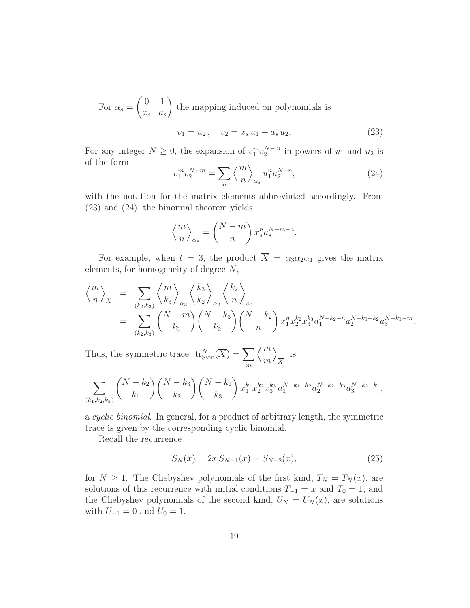For  $\alpha_s =$  $(0 1)$ *x<sup>s</sup> a<sup>s</sup>*  $\overline{ }$ the mapping induced on polynomials is  $v_1 = u_2, \quad v_2 = x_s u_1 + a_s u_2.$  (23)

For any integer 
$$
N \ge 0
$$
, the expansion of  $v_1^m v_2^{N-m}$  in powers of  $u_1$  and  $u_2$  is

$$
v_1^m v_2^{N-m} = \sum_n \left\langle {m \atop n} \right\rangle_{\alpha_s} u_1^n u_2^{N-n},\tag{24}
$$

with the notation for the matrix elements abbreviated accordingly. From (23) and (24), the binomial theorem yields

$$
\left\langle \frac{m}{n} \right\rangle_{\alpha_s} = \left( \frac{N-m}{n} \right) x_s^n a_s^{N-m-n}.
$$

For example, when  $t = 3$ , the product  $\overline{X} = \alpha_3 \alpha_2 \alpha_1$  gives the matrix elements, for homogeneity of degree *N*,

$$
\begin{split}\n\left\langle \frac{m}{n} \right\rangle_{\overline{X}} &= \sum_{(k_2,k_3)} \left\langle \frac{m}{k_3} \right\rangle_{\alpha_3} \left\langle \frac{k_3}{k_2} \right\rangle_{\alpha_2} \left\langle \frac{k_2}{n} \right\rangle_{\alpha_1} \\
&= \sum_{(k_2,k_3)} \binom{N-m}{k_3} \binom{N-k_3}{k_2} \binom{N-k_2}{n} x_1^{n} x_2^{k_2} x_3^{k_3} a_1^{N-k_2-n} a_2^{N-k_3-k_2} a_3^{N-k_3-m}.\n\end{split}
$$

Thus, the symmetric trace  $tr_{Sym}^N(\overline{X}) = \sum$ *m*  $\mu$ *m*  $\overline{ }$  $\frac{1}{X}$  is

$$
\sum_{(k_1,k_2,k_3)} \binom{N-k_2}{k_1} \binom{N-k_3}{k_2} \binom{N-k_1}{k_3} x_1^{k_1} x_2^{k_2} x_3^{k_3} a_1^{N-k_1-k_2} a_2^{N-k_2-k_3} a_3^{N-k_3-k_1},
$$

a *cyclic binomial*. In general, for a product of arbitrary length, the symmetric trace is given by the corresponding cyclic binomial.

Recall the recurrence

of the form

$$
S_N(x) = 2x S_{N-1}(x) - S_{N-2}(x),
$$
\n(25)

for  $N \geq 1$ . The Chebyshev polynomials of the first kind,  $T_N = T_N(x)$ , are solutions of this recurrence with initial conditions  $T_{-1} = x$  and  $T_0 = 1$ , and the Chebyshev polynomials of the second kind,  $U_N = U_N(x)$ , are solutions with  $U_{-1} = 0$  and  $U_0 = 1$ .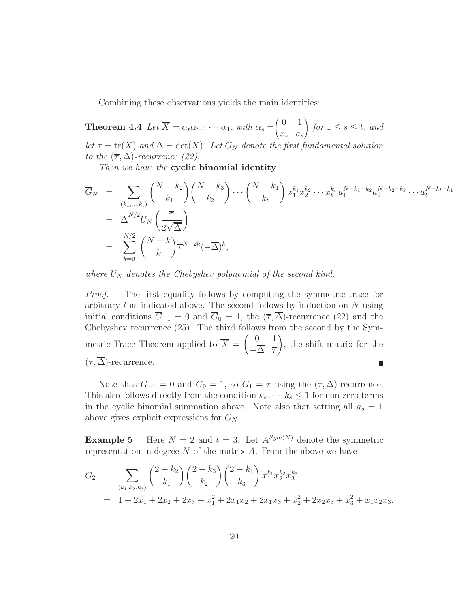Combining these observations yields the main identities:

**Theorem 4.4**  $Let \overline{X} = \alpha_t \alpha_{t-1} \cdots \alpha_1$ , with  $\alpha_s =$  $\overline{1}$  $\begin{pmatrix} 0 & 1 \end{pmatrix}$ *x<sup>s</sup> a<sup>s</sup>*  $\sqrt{2}$ *for*  $1 \leq s \leq t$ *, and let*  $\overline{\tau}$  = tr( $\overline{X}$ ) *and*  $\overline{\Delta}$  = det( $\overline{X}$ )*. Let*  $\overline{G}_N$  *denote the first fundamental solution to the*  $(\overline{\tau}, \overline{\Delta})$ *-recurrence* (22).

*Then we have the* **cyclic binomial identity**

$$
\overline{G}_{N} = \sum_{\substack{(k_{1},...,k_{t}) \ (k_{1},...,k_{t})}} {N-k_{2} \choose k_{1}} {N-k_{3} \choose k_{2}} \cdots {N-k_{1} \choose k_{t}} x_{1}^{k_{1}} x_{2}^{k_{2}} \cdots x_{t}^{k_{t}} a_{1}^{N-k_{1}-k_{2}} a_{2}^{N-k_{2}-k_{3}} \cdots a_{t}^{N-k_{t}-k_{1}}
$$
\n
$$
= \overline{\Delta}^{N/2} U_{N} \left( \frac{\overline{\tau}}{2\sqrt{\overline{\Delta}}} \right)
$$
\n
$$
= \sum_{k=0}^{\lfloor N/2 \rfloor} {N-k \choose k} \overline{\tau}^{N-2k} (-\overline{\Delta})^{k},
$$

*where*  $U_N$  *denotes the Chebyshev polynomial of the second kind.* 

*Proof.* The first equality follows by computing the symmetric trace for arbitrary *t* as indicated above. The second follows by induction on *N* using initial conditions  $\overline{G}_{-1} = 0$  and  $\overline{G}_0 = 1$ , the  $(\overline{\tau}, \overline{\Delta})$ -recurrence (22) and the Chebyshev recurrence (25). The third follows from the second by the Symmetric Trace Theorem applied to  $\overline{X} = \begin{pmatrix} 0 & 1 \\ \frac{\lambda}{\lambda} & \frac{\lambda}{\lambda} \end{pmatrix}$  $\overline{ }$ , the shift matrix for the −∆ *τ*  $(\overline{\tau}, \overline{\Delta})$ -recurrence.  $\Box$ 

Note that  $G_{-1} = 0$  and  $G_0 = 1$ , so  $G_1 = \tau$  using the  $(\tau, \Delta)$ -recurrence. This also follows directly from the condition  $k_{s-1} + k_s \leq 1$  for non-zero terms in the cyclic binomial summation above. Note also that setting all  $a_s = 1$ above gives explicit expressions for *G<sup>N</sup>* .

**Example 5** Here  $N = 2$  and  $t = 3$ . Let  $A^{Sym(N)}$  denote the symmetric representation in degree *N* of the matrix *A*. From the above we have

$$
G_2 = \sum_{(k_1,k_2,k_3)} \binom{2-k_2}{k_1} \binom{2-k_3}{k_2} \binom{2-k_1}{k_3} x_1^{k_1} x_2^{k_2} x_3^{k_3}
$$
  
= 1 + 2x<sub>1</sub> + 2x<sub>2</sub> + 2x<sub>3</sub> + x<sub>1</sub><sup>2</sup> + 2x<sub>1</sub>x<sub>2</sub> + 2x<sub>1</sub>x<sub>3</sub> + x<sub>2</sub><sup>2</sup> + 2x<sub>2</sub>x<sub>3</sub> + x<sub>3</sub><sup>2</sup> + x<sub>1</sub>x<sub>2</sub>x<sub>3</sub>.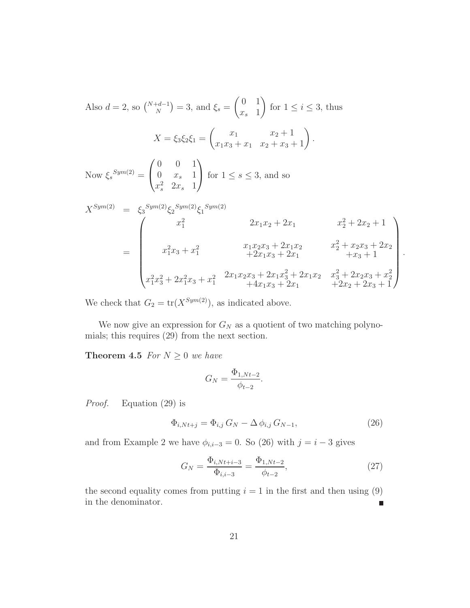Also 
$$
d = 2
$$
, so  $\binom{N+d-1}{N} = 3$ , and  $\xi_s = \begin{pmatrix} 0 & 1 \ x_s & 1 \end{pmatrix}$  for  $1 \le i \le 3$ , thus  
\n
$$
X = \xi_3 \xi_2 \xi_1 = \begin{pmatrix} x_1 & x_2 + 1 \ x_1x_3 + x_1 & x_2 + x_3 + 1 \end{pmatrix}.
$$
\nNow  $\xi_s$ <sup>*Sym*(2)</sup> =  $\begin{pmatrix} 0 & 0 & 1 \ 0 & x_s & 1 \ x_s^2 & 2x_s & 1 \end{pmatrix}$  for  $1 \le s \le 3$ , and so  
\n
$$
X^{Sym(2)} = \xi_3 \begin{pmatrix} \xi_2 \xi_3 \sin(2) & \xi_1 \xi_3 \sin(2) \\ x_1^2 & 2x_1x_2 + 2x_1 & x_2^2 + 2x_2 + 1 \\ x_1^2x_3 + x_1^2 & 2x_1x_2x_3 + 2x_1x_2 & x_2^2 + x_2x_3 + 2x_2 \\ + 2x_1x_3 + 2x_1 & + x_3 + 1 \\ x_1^2x_3^2 + 2x_1^2x_3 + x_1^2 & 2x_1x_2x_3 + 2x_1x_3^2 + 2x_1x_2 & x_3^2 + 2x_2x_3 + x_2^2 \\ + 4x_1x_3 + 2x_1 & + 2x_2 + 2x_3 + 1 \end{pmatrix}.
$$

We check that  $G_2 = \text{tr}(X^{\text{Sym}(2)})$ , as indicated above.

We now give an expression for  $G_N$  as a quotient of two matching polynomials; this requires (29) from the next section.

**Theorem 4.5** *For*  $N \geq 0$  *we have* 

$$
G_N = \frac{\Phi_{1,Nt-2}}{\phi_{t-2}}.
$$

*Proof.* Equation (29) is

$$
\Phi_{i,Nt+j} = \Phi_{i,j} \, G_N - \Delta \, \phi_{i,j} \, G_{N-1}, \tag{26}
$$

and from Example 2 we have  $\phi_{i,i-3} = 0$ . So (26) with  $j = i - 3$  gives

$$
G_N = \frac{\Phi_{i,Nt+i-3}}{\Phi_{i,i-3}} = \frac{\Phi_{1,Nt-2}}{\phi_{t-2}},\tag{27}
$$

the second equality comes from putting  $i = 1$  in the first and then using  $(9)$ in the denominator.  $\blacksquare$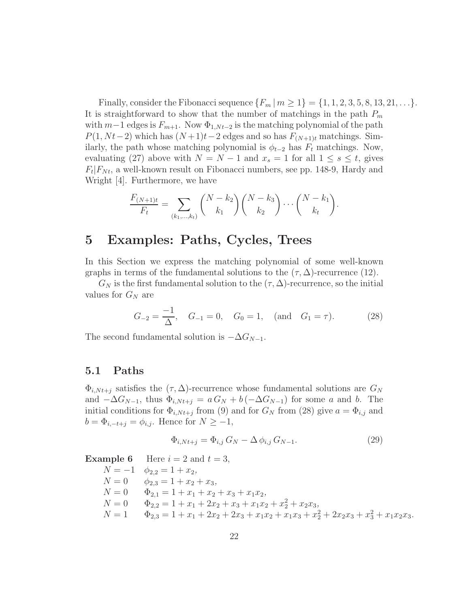Finally, consider the Fibonacci sequence  ${F_m \mid m \ge 1} = {1, 1, 2, 3, 5, 8, 13, 21, \ldots}$ . It is straightforward to show that the number of matchings in the path *P<sup>m</sup>* with  $m-1$  edges is  $F_{m+1}$ . Now  $\Phi_{1,Nt-2}$  is the matching polynomial of the path  $P(1, Nt-2)$  which has  $(N+1)t-2$  edges and so has  $F_{(N+1)t}$  matchings. Similarly, the path whose matching polynomial is  $\phi_{t-2}$  has  $F_t$  matchings. Now, evaluating (27) above with  $N = N - 1$  and  $x_s = 1$  for all  $1 \leq s \leq t$ , gives  $F_t|F_{Nt}$ , a well-known result on Fibonacci numbers, see pp. 148-9, Hardy and Wright [4]. Furthermore, we have

$$
\frac{F_{(N+1)t}}{F_t} = \sum_{(k_1,\dots,k_t)} \binom{N-k_2}{k_1} \binom{N-k_3}{k_2} \cdots \binom{N-k_1}{k_t}.
$$

### **5 Examples: Paths, Cycles, Trees**

In this Section we express the matching polynomial of some well-known graphs in terms of the fundamental solutions to the  $(\tau, \Delta)$ -recurrence (12).

 $G_N$  is the first fundamental solution to the  $(\tau, \Delta)$ -recurrence, so the initial values for *G<sup>N</sup>* are

$$
G_{-2} = \frac{-1}{\Delta}, \quad G_{-1} = 0, \quad G_0 = 1, \quad \text{(and} \quad G_1 = \tau). \tag{28}
$$

The second fundamental solution is  $-\Delta G_{N-1}$ .

### **5.1 Paths**

 $\Phi_{i,Nt+j}$  satisfies the  $(\tau, \Delta)$ -recurrence whose fundamental solutions are  $G_N$ and  $-\Delta G_{N-1}$ , thus  $\Phi_{i,Nt+j} = a G_N + b(-\Delta G_{N-1})$  for some *a* and *b*. The initial conditions for  $\Phi_{i,Nt+j}$  from (9) and for  $G_N$  from (28) give  $a = \Phi_{i,j}$  and  $b = \Phi_{i,-t+j} = \phi_{i,j}$ . Hence for  $N \geq -1$ ,

$$
\Phi_{i,Nt+j} = \Phi_{i,j} G_N - \Delta \phi_{i,j} G_{N-1}.
$$
\n(29)

**Example 6** Here  $i = 2$  and  $t = 3$ ,  $N = -1$   $\phi_{2,2} = 1 + x_2$  $N = 0$   $\phi_{2,3} = 1 + x_2 + x_3$  $N = 0$   $\Phi_{2,1} = 1 + x_1 + x_2 + x_3 + x_1x_2$  $N = 0$   $\Phi_{2,2} = 1 + x_1 + 2x_2 + x_3 + x_1x_2 + x_2^2 + x_2x_3$  $N = 1$   $\Phi_{2,3} = 1 + x_1 + 2x_2 + 2x_3 + x_1x_2 + x_1x_3 + x_2^2 + 2x_2x_3 + x_3^2 + x_1x_2x_3.$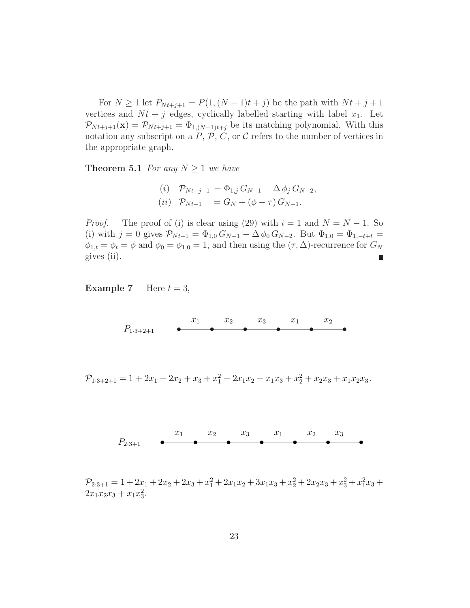For  $N \ge 1$  let  $P_{N t + j + 1} = P(1, (N - 1)t + j)$  be the path with  $N t + j + 1$ vertices and  $Nt + j$  edges, cyclically labelled starting with label  $x_1$ . Let  $\mathcal{P}_{N t+j+1}(\mathbf{x}) = \mathcal{P}_{N t+j+1} = \Phi_{1,(N-1)t+j}$  be its matching polynomial. With this notation any subscript on a  $P$ ,  $P$ ,  $C$ , or  $C$  refers to the number of vertices in the appropriate graph.

**Theorem 5.1** *For any*  $N \geq 1$  *we have* 

(i) 
$$
\mathcal{P}_{Nt+j+1} = \Phi_{1,j} G_{N-1} - \Delta \phi_j G_{N-2},
$$
  
(ii)  $\mathcal{P}_{Nt+1} = G_N + (\phi - \tau) G_{N-1}.$ 

*Proof.* The proof of (i) is clear using (29) with  $i = 1$  and  $N = N - 1$ . So (i) with  $j = 0$  gives  $\mathcal{P}_{N_t+1} = \Phi_{1,0} G_{N-1} - \Delta \phi_0 G_{N-2}$ . But  $\Phi_{1,0} = \Phi_{1,-t+t}$  $\phi_{1,t} = \phi_t = \phi$  and  $\phi_0 = \phi_{1,0} = 1$ , and then using the  $(\tau, \Delta)$ -recurrence for  $G_N$ gives (ii).

**Example 7** Here  $t = 3$ ,

••••••  $x_1$   $x_2$   $x_3$   $x_1$   $x_2$ *P*1·3+2+1

 $\mathcal{P}_{1\cdot3+2+1} = 1 + 2x_1 + 2x_2 + x_3 + x_1^2 + 2x_1x_2 + x_1x_3 + x_2^2 + x_2x_3 + x_1x_2x_3.$ 

$$
P_{2\cdot 3+1} \qquad \bullet \qquad x_1 \qquad x_2 \qquad x_3 \qquad x_1 \qquad x_2 \qquad x_3 \qquad \bullet
$$

 $\mathcal{P}_{2\cdot3+1} = 1 + 2x_1 + 2x_2 + 2x_3 + x_1^2 + 2x_1x_2 + 3x_1x_3 + x_2^2 + 2x_2x_3 + x_3^2 + x_1^2x_3 +$  $2x_1x_2x_3 + x_1x_3^2$ .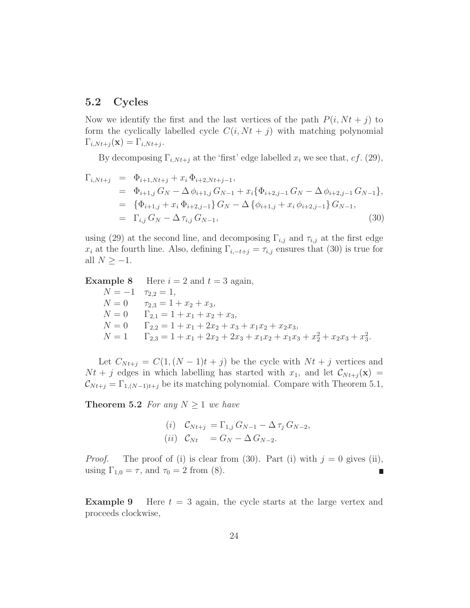### **5.2 Cycles**

Now we identify the first and the last vertices of the path  $P(i, Nt + j)$  to form the cyclically labelled cycle  $C(i, Nt + j)$  with matching polynomial  $\Gamma_{i,Nt+j}(\mathbf{x})=\Gamma_{i,Nt+j}$ .

By decomposing  $\Gamma_{i,Nt+j}$  at the 'first' edge labelled  $x_i$  we see that,  $cf.$  (29),

$$
\Gamma_{i,Nt+j} = \Phi_{i+1,Nt+j} + x_i \Phi_{i+2,Nt+j-1},
$$
\n
$$
= \Phi_{i+1,j} G_N - \Delta \phi_{i+1,j} G_{N-1} + x_i \{\Phi_{i+2,j-1} G_N - \Delta \phi_{i+2,j-1} G_{N-1}\},
$$
\n
$$
= \{\Phi_{i+1,j} + x_i \Phi_{i+2,j-1}\} G_N - \Delta \{\phi_{i+1,j} + x_i \phi_{i+2,j-1}\} G_{N-1},
$$
\n
$$
= \Gamma_{i,j} G_N - \Delta \tau_{i,j} G_{N-1},
$$
\n(30)

using (29) at the second line, and decomposing  $\Gamma_{i,j}$  and  $\tau_{i,j}$  at the first edge *x*<sup>*i*</sup> at the fourth line. Also, defining  $\Gamma_{i,-t+j} = \tau_{i,j}$  ensures that (30) is true for all  $N \geq -1$ .

**Example 8** Here  $i = 2$  and  $t = 3$  again,  $N = -1$   $\tau_{2,2} = 1$ ,  $N = 0$   $\tau_{2,3} = 1 + x_2 + x_3$  $N = 0$   $\Gamma_{2,1} = 1 + x_1 + x_2 + x_3$  $N = 0$   $\Gamma_{2,2} = 1 + x_1 + 2x_2 + x_3 + x_1x_2 + x_2x_3$  $N = 1$   $\Gamma_{2,3} = 1 + x_1 + 2x_2 + 2x_3 + x_1x_2 + x_1x_3 + x_2^2 + x_2x_3 + x_3^2.$ 

Let  $C_{Nt+j} = C(1, (N-1)t + j)$  be the cycle with  $Nt + j$  vertices and  $N t + j$  edges in which labelling has started with  $x_1$ , and let  $\mathcal{C}_{N t + j}(\mathbf{x}) =$  $\mathcal{C}_{N t+j} = \Gamma_{1,(N-1)t+j}$  be its matching polynomial. Compare with Theorem 5.1,

**Theorem 5.2** *For any*  $N \geq 1$  *we have* 

(i) 
$$
C_{Nt+j} = \Gamma_{1,j} G_{N-1} - \Delta \tau_j G_{N-2},
$$
  
(ii)  $C_{Nt} = G_N - \Delta G_{N-2}.$ 

*Proof.* The proof of (i) is clear from (30). Part (i) with  $j = 0$  gives (ii), using  $\Gamma_{1,0} = \tau$ , and  $\tau_0 = 2$  from (8). п

**Example 9** Here  $t = 3$  again, the cycle starts at the large vertex and proceeds clockwise,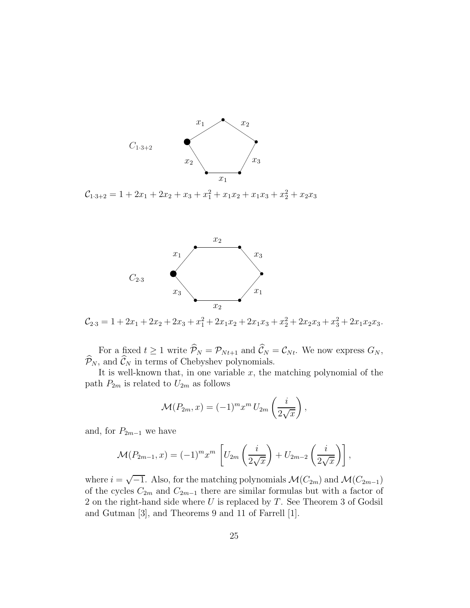

 $\mathcal{C}_{1\cdot3+2} = 1 + 2x_1 + 2x_2 + x_3 + x_1^2 + x_1x_2 + x_1x_3 + x_2^2 + x_2x_3$ 



 $\mathcal{C}_{2\cdot3} = 1 + 2x_1 + 2x_2 + 2x_3 + x_1^2 + 2x_1x_2 + 2x_1x_3 + x_2^2 + 2x_2x_3 + x_3^2 + 2x_1x_2x_3.$ 

For a fixed  $t \ge 1$  write  $\mathcal{P}_N = \mathcal{P}_{N_t+1}$  and  $\mathcal{C}_N = \mathcal{C}_{N_t}$ . We now express  $G_N$ ,  $\mathcal{P}_N$ , and  $\mathcal{C}_N$  in terms of Chebyshev polynomials.

It is well-known that, in one variable  $x$ , the matching polynomial of the path  $P_{2m}$  is related to  $U_{2m}$  as follows

$$
\mathcal{M}(P_{2m},x) = (-1)^m x^m U_{2m} \left(\frac{i}{2\sqrt{x}}\right),
$$

and, for  $P_{2m-1}$  we have

$$
\mathcal{M}(P_{2m-1},x) = (-1)^m x^m \left[ U_{2m} \left( \frac{i}{2\sqrt{x}} \right) + U_{2m-2} \left( \frac{i}{2\sqrt{x}} \right) \right],
$$

where  $i = \sqrt{-1}$ . Also, for the matching polynomials  $\mathcal{M}(C_{2m})$  and  $\mathcal{M}(C_{2m-1})$ of the cycles  $C_{2m}$  and  $C_{2m-1}$  there are similar formulas but with a factor of 2 on the right-hand side where *U* is replaced by *T*. See Theorem 3 of Godsil and Gutman [3], and Theorems 9 and 11 of Farrell [1].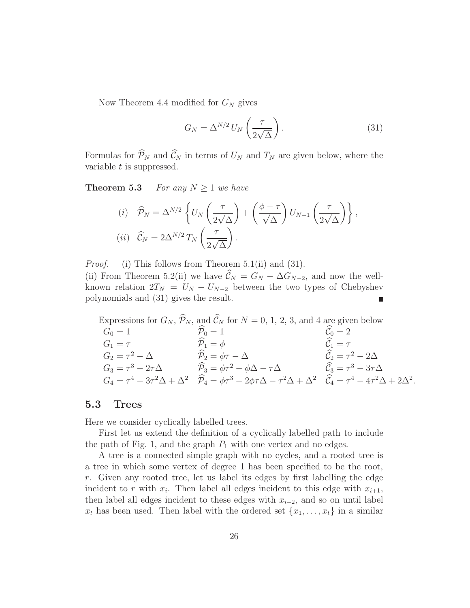Now Theorem 4.4 modified for *G<sup>N</sup>* gives

$$
G_N = \Delta^{N/2} U_N \left(\frac{\tau}{2\sqrt{\Delta}}\right). \tag{31}
$$

Formulas for  $\mathcal{P}_N$  and  $\mathcal{C}_N$  in terms of  $U_N$  and  $T_N$  are given below, where the variable *t* is suppressed.

**Theorem 5.3** *For any*  $N \geq 1$  *we have* 

(i) 
$$
\widehat{P}_N = \Delta^{N/2} \left\{ U_N \left( \frac{\tau}{2\sqrt{\Delta}} \right) + \left( \frac{\phi - \tau}{\sqrt{\Delta}} \right) U_{N-1} \left( \frac{\tau}{2\sqrt{\Delta}} \right) \right\},
$$
  
(ii)  $\widehat{C}_N = 2\Delta^{N/2} T_N \left( \frac{\tau}{2\sqrt{\Delta}} \right).$ 

*Proof.* (i) This follows from Theorem 5.1(ii) and (31).

(ii) From Theorem 5.2(ii) we have  $\hat{\mathcal{C}}_N = G_N - \Delta G_{N-2}$ , and now the wellknown relation  $2T_N = U_N - U_{N-2}$  between the two types of Chebyshev polynomials and (31) gives the result.

Expressions for  $G_N$ ,  $\mathcal{P}_N$ , and  $\mathcal{C}_N$  for  $N = 0, 1, 2, 3$ , and 4 are given below  $G_0 = 1$   $\overline{P}_0 = 1$   $\overline{C}_0 = 2$  $G_1 = \tau$   $\widetilde{P}_1 = \phi$   $\widetilde{C}_1 = \tau$  $G_2 = \tau^2 - \Delta$   $\widehat{P}_2 = \phi \tau - \Delta$   $\widehat{C}_2 = \tau^2 - 2\Delta$  $G_3 = \tau^3 - 2\tau\Delta$   $\widehat{P}_3 = \phi\tau^2 - \phi\Delta - \tau\Delta$   $\widehat{C}_3 = \tau^3 - 3\tau\Delta$  $G_4 = \tau^4 - 3\tau^2 \Delta + \Delta^2$   $\widehat{P}_4 = \phi \tau^3 - 2\phi \tau \Delta - \tau^2 \Delta + \Delta^2$   $\widehat{C}_4 = \tau^4 - 4\tau^2 \Delta + 2\Delta^2$ .

### **5.3 Trees**

Here we consider cyclically labelled trees.

First let us extend the definition of a cyclically labelled path to include the path of Fig. 1, and the graph  $P_1$  with one vertex and no edges.

A tree is a connected simple graph with no cycles, and a rooted tree is a tree in which some vertex of degree 1 has been specified to be the root, *r*. Given any rooted tree, let us label its edges by first labelling the edge incident to r with  $x_i$ . Then label all edges incident to this edge with  $x_{i+1}$ , then label all edges incident to these edges with  $x_{i+2}$ , and so on until label  $x_t$  has been used. Then label with the ordered set  $\{x_1, \ldots, x_t\}$  in a similar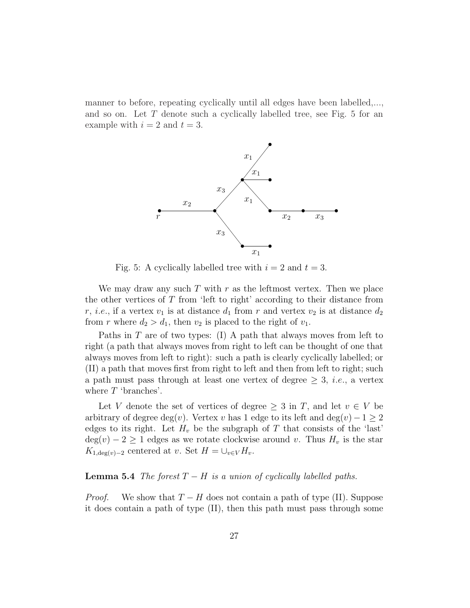manner to before, repeating cyclically until all edges have been labelled,..., and so on. Let *T* denote such a cyclically labelled tree, see Fig. 5 for an example with  $i = 2$  and  $t = 3$ .



Fig. 5: A cyclically labelled tree with  $i = 2$  and  $t = 3$ .

We may draw any such *T* with *r* as the leftmost vertex. Then we place the other vertices of *T* from 'left to right' according to their distance from *r*, *i.e.*, if a vertex  $v_1$  is at distance  $d_1$  from *r* and vertex  $v_2$  is at distance  $d_2$ from *r* where  $d_2 > d_1$ , then  $v_2$  is placed to the right of  $v_1$ .

Paths in *T* are of two types: (I) A path that always moves from left to right (a path that always moves from right to left can be thought of one that always moves from left to right): such a path is clearly cyclically labelled; or (II) a path that moves first from right to left and then from left to right; such a path must pass through at least one vertex of degree  $\geq 3$ , *i.e.*, a vertex where *T* 'branches'.

Let *V* denote the set of vertices of degree  $\geq 3$  in *T*, and let  $v \in V$  be arbitrary of degree deg(*v*). Vertex *v* has 1 edge to its left and deg(*v*)  $-1 \geq 2$ edges to its right. Let  $H_v$  be the subgraph of  $T$  that consists of the 'last'  $deg(v) - 2 \geq 1$  edges as we rotate clockwise around *v*. Thus  $H_v$  is the star *K*<sub>1</sub>,deg(*v*)−2 centered at *v*. Set  $H = \bigcup_{v \in V} H_v$ .

#### **Lemma 5.4** *The forest*  $T - H$  *is a union of cyclically labelled paths.*

*Proof.* We show that  $T - H$  does not contain a path of type (II). Suppose it does contain a path of type (II), then this path must pass through some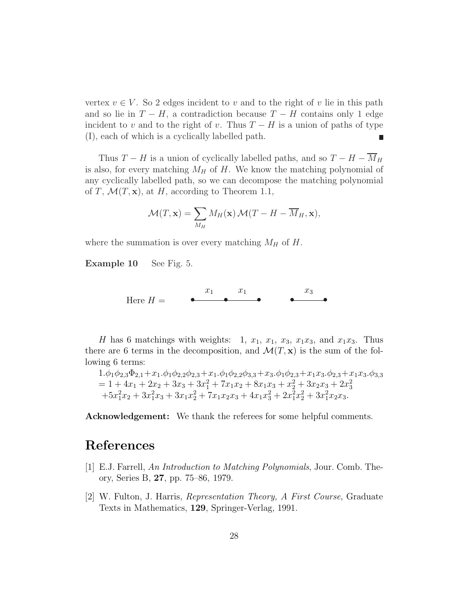vertex  $v \in V$ . So 2 edges incident to *v* and to the right of *v* lie in this path and so lie in  $T - H$ , a contradiction because  $T - H$  contains only 1 edge incident to *v* and to the right of *v*. Thus  $T - H$  is a union of paths of type (I), each of which is a cyclically labelled path.

Thus *T* − *H* is a union of cyclically labelled paths, and so  $T - H - \overline{M}_H$ is also, for every matching  $M_H$  of  $H$ . We know the matching polynomial of any cyclically labelled path, so we can decompose the matching polynomial of *T*,  $\mathcal{M}(T, \mathbf{x})$ , at *H*, according to Theorem 1.1,

$$
\mathcal{M}(T, \mathbf{x}) = \sum_{M_H} M_H(\mathbf{x}) \mathcal{M}(T - H - \overline{M}_H, \mathbf{x}),
$$

where the summation is over every matching  $M_H$  of  $H$ .

**Example 10** See Fig. 5.

 $\bullet$   $\bullet$   $\bullet$   $\bullet$   $\bullet$  $x_1$   $x_1$   $x_3$ Here  $H =$ 

*H* has 6 matchings with weights: 1,  $x_1$ ,  $x_1$ ,  $x_3$ ,  $x_1x_3$ , and  $x_1x_3$ . Thus there are 6 terms in the decomposition, and  $\mathcal{M}(T, \mathbf{x})$  is the sum of the following 6 terms:

$$
1.\phi_1\phi_{2,3}\Phi_{2,1}+x_1.\phi_1\phi_{2,2}\phi_{2,3}+x_1.\phi_1\phi_{2,2}\phi_{3,3}+x_3.\phi_1\phi_{2,3}+x_1x_3.\phi_{2,3}+x_1x_3.\phi_{3,3}
$$
  
= 1 + 4x<sub>1</sub> + 2x<sub>2</sub> + 3x<sub>3</sub> + 3x<sub>1</sub><sup>2</sup> + 7x<sub>1</sub>x<sub>2</sub> + 8x<sub>1</sub>x<sub>3</sub> + x<sub>2</sub><sup>2</sup> + 3x<sub>2</sub>x<sub>3</sub> + 2x<sub>3</sub><sup>2</sup>  
+5x<sub>1</sub><sup>2</sup>x<sub>2</sub> + 3x<sub>1</sub><sup>2</sup>x<sub>3</sub> + 3x<sub>1</sub>x<sub>2</sub><sup>2</sup> + 7x<sub>1</sub>x<sub>2</sub>x<sub>3</sub> + 4x<sub>1</sub>x<sub>3</sub><sup>2</sup> + 2x<sub>1</sub><sup>2</sup>x<sub>2</sub><sup>2</sup> + 3x<sub>1</sub><sup>2</sup>x<sub>2</sub>x<sub>3</sub>.

**Acknowledgement:** We thank the referees for some helpful comments.

### **References**

- [1] E.J. Farrell, *An Introduction to Matching Polynomials*, Jour. Comb. Theory, Series B, **27**, pp. 75–86, 1979.
- [2] W. Fulton, J. Harris, *Representation Theory, A First Course*, Graduate Texts in Mathematics, **129**, Springer-Verlag, 1991.